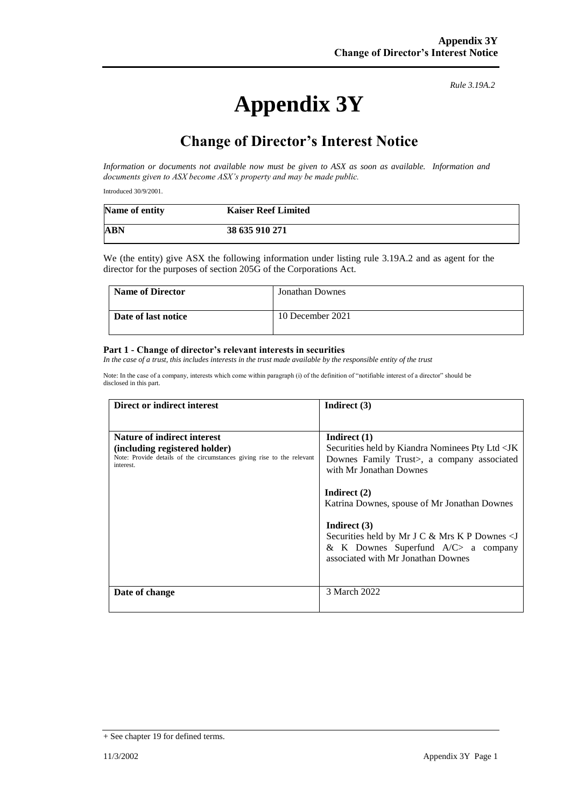# **Appendix 3Y**

*Rule 3.19A.2*

# **Change of Director's Interest Notice**

*Information or documents not available now must be given to ASX as soon as available. Information and documents given to ASX become ASX's property and may be made public.*

Introduced 30/9/2001.

| Name of entity | <b>Kaiser Reef Limited</b> |
|----------------|----------------------------|
| <b>ABN</b>     | 38 635 910 271             |

We (the entity) give ASX the following information under listing rule 3.19A.2 and as agent for the director for the purposes of section 205G of the Corporations Act.

| <b>Name of Director</b> | <b>Jonathan Downes</b> |
|-------------------------|------------------------|
| Date of last notice     | 10 December 2021       |

#### **Part 1 - Change of director's relevant interests in securities**

*In the case of a trust, this includes interests in the trust made available by the responsible entity of the trust*

Note: In the case of a company, interests which come within paragraph (i) of the definition of "notifiable interest of a director" should be disclosed in this part.

| Direct or indirect interest                                                                                                                                | Indirect $(3)$                                                                                                                                                                                                       |  |
|------------------------------------------------------------------------------------------------------------------------------------------------------------|----------------------------------------------------------------------------------------------------------------------------------------------------------------------------------------------------------------------|--|
|                                                                                                                                                            |                                                                                                                                                                                                                      |  |
| <b>Nature of indirect interest</b><br>(including registered holder)<br>Note: Provide details of the circumstances giving rise to the relevant<br>interest. | Indirect $(1)$<br>Securities held by Kiandra Nominees Pty Ltd <jk<br>Downes Family Trust&gt;, a company associated<br/>with Mr Jonathan Downes</jk<br>                                                               |  |
|                                                                                                                                                            | Indirect $(2)$<br>Katrina Downes, spouse of Mr Jonathan Downes<br>Indirect $(3)$<br>Securities held by Mr J C & Mrs K P Downes $\le$ J<br>& K Downes Superfund $A/C$ a company<br>associated with Mr Jonathan Downes |  |
| Date of change                                                                                                                                             | 3 March 2022                                                                                                                                                                                                         |  |

<sup>+</sup> See chapter 19 for defined terms.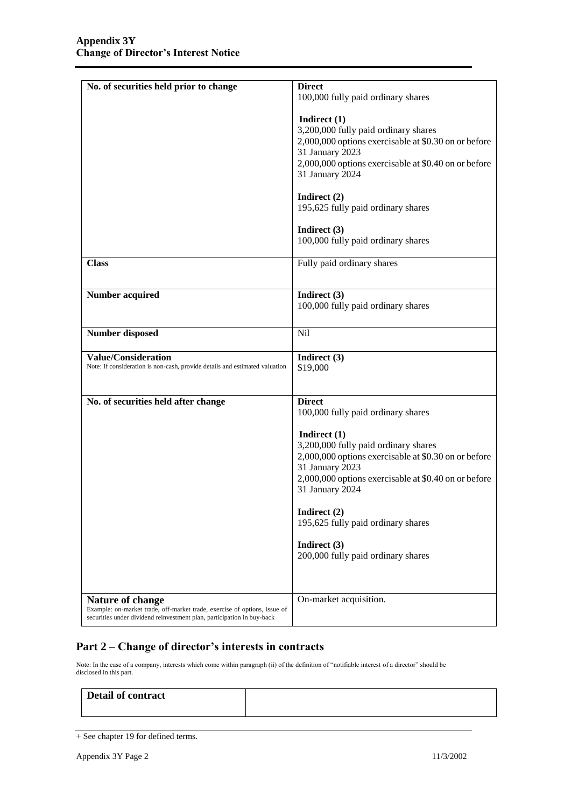| No. of securities held prior to change                                                                    | <b>Direct</b><br>100,000 fully paid ordinary shares                                                                                                                                                          |  |
|-----------------------------------------------------------------------------------------------------------|--------------------------------------------------------------------------------------------------------------------------------------------------------------------------------------------------------------|--|
|                                                                                                           | Indirect $(1)$<br>3,200,000 fully paid ordinary shares<br>2,000,000 options exercisable at \$0.30 on or before<br>31 January 2023<br>2,000,000 options exercisable at \$0.40 on or before<br>31 January 2024 |  |
|                                                                                                           | Indirect $(2)$<br>195,625 fully paid ordinary shares                                                                                                                                                         |  |
|                                                                                                           | Indirect (3)<br>100,000 fully paid ordinary shares                                                                                                                                                           |  |
| <b>Class</b>                                                                                              | Fully paid ordinary shares                                                                                                                                                                                   |  |
| <b>Number acquired</b>                                                                                    | Indirect (3)<br>100,000 fully paid ordinary shares                                                                                                                                                           |  |
| <b>Number disposed</b>                                                                                    | <b>Nil</b>                                                                                                                                                                                                   |  |
| <b>Value/Consideration</b><br>Note: If consideration is non-cash, provide details and estimated valuation | Indirect (3)<br>\$19,000                                                                                                                                                                                     |  |
| No. of securities held after change                                                                       | <b>Direct</b><br>100,000 fully paid ordinary shares                                                                                                                                                          |  |
|                                                                                                           | Indirect $(1)$<br>3,200,000 fully paid ordinary shares<br>2,000,000 options exercisable at \$0.30 on or before<br>31 January 2023<br>2,000,000 options exercisable at \$0.40 on or before<br>31 January 2024 |  |
|                                                                                                           | Indirect (2)                                                                                                                                                                                                 |  |
|                                                                                                           | 195,625 fully paid ordinary shares                                                                                                                                                                           |  |
|                                                                                                           | Indirect (3)<br>200,000 fully paid ordinary shares                                                                                                                                                           |  |

### **Part 2 – Change of director's interests in contracts**

Note: In the case of a company, interests which come within paragraph (ii) of the definition of "notifiable interest of a director" should be disclosed in this part.

| Detail of contract |  |
|--------------------|--|
|                    |  |

<sup>+</sup> See chapter 19 for defined terms.